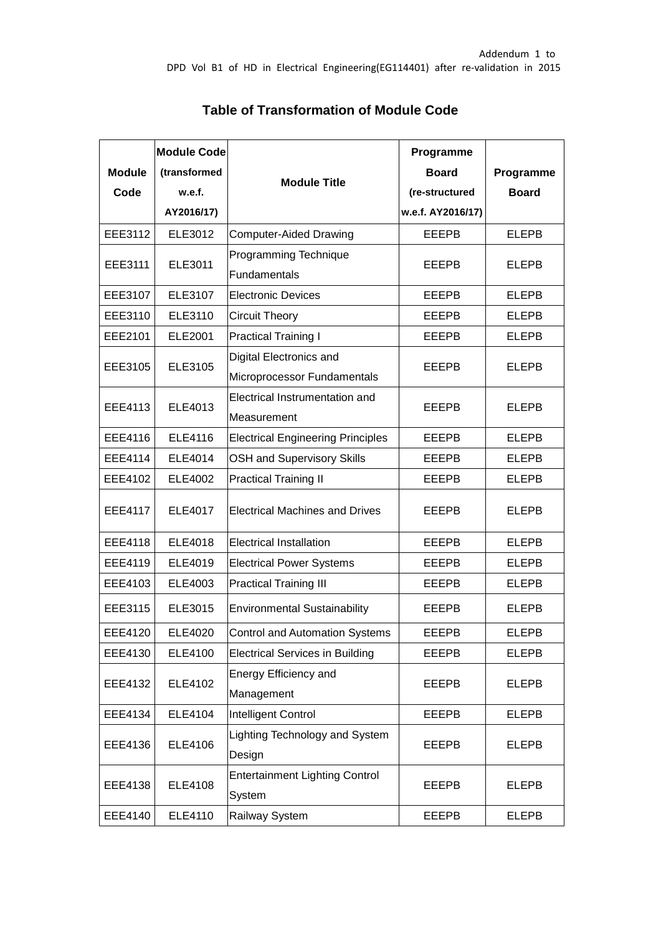| <b>Module</b><br>Code | <b>Module Code</b><br>(transformed<br>w.e.f.<br>AY2016/17) | <b>Module Title</b>                                    | Programme<br><b>Board</b><br>(re-structured<br>w.e.f. AY2016/17) | Programme<br><b>Board</b> |  |
|-----------------------|------------------------------------------------------------|--------------------------------------------------------|------------------------------------------------------------------|---------------------------|--|
| EEE3112               | ELE3012                                                    | Computer-Aided Drawing                                 | <b>EEEPB</b>                                                     | <b>ELEPB</b>              |  |
| <b>EEE3111</b>        | ELE3011                                                    | Programming Technique<br>Fundamentals                  | <b>EEEPB</b>                                                     | <b>ELEPB</b>              |  |
| EEE3107               | ELE3107                                                    | <b>Electronic Devices</b>                              | <b>EEEPB</b>                                                     | <b>ELEPB</b>              |  |
| EEE3110               | ELE3110                                                    | <b>Circuit Theory</b>                                  | <b>EEEPB</b>                                                     | <b>ELEPB</b>              |  |
| EEE2101               | <b>ELE2001</b>                                             | <b>Practical Training I</b>                            | <b>EEEPB</b>                                                     | <b>ELEPB</b>              |  |
| EEE3105               | ELE3105                                                    | Digital Electronics and<br>Microprocessor Fundamentals | <b>EEEPB</b>                                                     | <b>ELEPB</b>              |  |
| EEE4113               | ELE4013                                                    | Electrical Instrumentation and<br>Measurement          | <b>EEEPB</b>                                                     | <b>ELEPB</b>              |  |
| EEE4116               | ELE4116                                                    | <b>Electrical Engineering Principles</b>               | EEEPB                                                            | <b>ELEPB</b>              |  |
| EEE4114               | ELE4014                                                    | <b>OSH and Supervisory Skills</b>                      | <b>EEEPB</b>                                                     | <b>ELEPB</b>              |  |
| EEE4102               | ELE4002                                                    | <b>Practical Training II</b>                           | <b>EEEPB</b>                                                     | <b>ELEPB</b>              |  |
| <b>EEE4117</b>        | <b>ELE4017</b>                                             | <b>Electrical Machines and Drives</b>                  | <b>EEEPB</b>                                                     | <b>ELEPB</b>              |  |
| <b>EEE4118</b>        | ELE4018                                                    | <b>Electrical Installation</b>                         | <b>EEEPB</b>                                                     | <b>ELEPB</b>              |  |
| EEE4119               | ELE4019                                                    | <b>Electrical Power Systems</b>                        | <b>EEEPB</b>                                                     | <b>ELEPB</b>              |  |
| EEE4103               | ELE4003                                                    | <b>Practical Training III</b>                          | <b>EEEPB</b>                                                     | <b>ELEPB</b>              |  |
| EEE3115               | ELE3015                                                    | <b>Environmental Sustainability</b>                    | <b>EEEPB</b>                                                     | <b>ELEPB</b>              |  |
| EEE4120               | ELE4020                                                    | <b>Control and Automation Systems</b>                  | EEEPB                                                            | <b>ELEPB</b>              |  |
| EEE4130               | ELE4100                                                    | <b>Electrical Services in Building</b>                 | <b>EEEPB</b>                                                     | <b>ELEPB</b>              |  |
| EEE4132               | ELE4102                                                    | <b>Energy Efficiency and</b><br>Management             | <b>EEEPB</b>                                                     | <b>ELEPB</b>              |  |
| EEE4134               | ELE4104                                                    | Intelligent Control                                    | <b>EEEPB</b>                                                     | <b>ELEPB</b>              |  |
| EEE4136               | ELE4106                                                    | Lighting Technology and System<br>Design               | <b>EEEPB</b>                                                     | <b>ELEPB</b>              |  |
| EEE4138               | ELE4108                                                    | <b>Entertainment Lighting Control</b><br>System        | <b>EEEPB</b>                                                     | <b>ELEPB</b>              |  |
| EEE4140               | ELE4110                                                    | Railway System                                         | <b>EEEPB</b>                                                     | <b>ELEPB</b>              |  |

## **Table of Transformation of Module Code**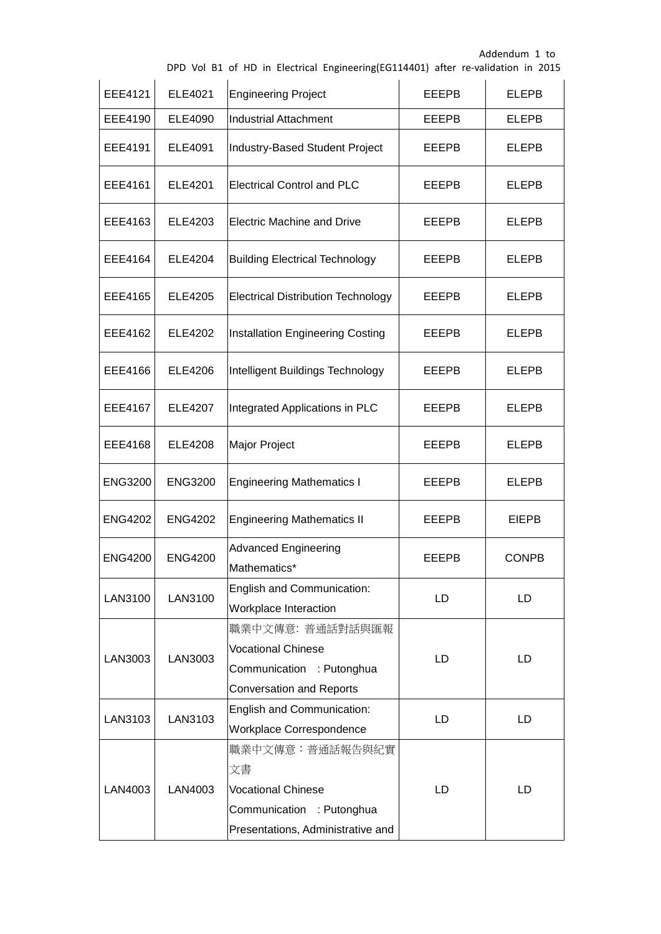|  |  |  |  |  |  | DPD Vol B1 of HD in Electrical Engineering(EG114401) after re-validation in 2015 |  |  |  |  |
|--|--|--|--|--|--|----------------------------------------------------------------------------------|--|--|--|--|
|--|--|--|--|--|--|----------------------------------------------------------------------------------|--|--|--|--|

| <b>EEE4121</b> | <b>ELE4021</b> | <b>Engineering Project</b>                                                                                           | <b>EEEPB</b> | <b>ELEPB</b> |
|----------------|----------------|----------------------------------------------------------------------------------------------------------------------|--------------|--------------|
| EEE4190        | ELE4090        | <b>Industrial Attachment</b>                                                                                         | <b>EEEPB</b> | <b>ELEPB</b> |
| EEE4191        | ELE4091        | Industry-Based Student Project                                                                                       | <b>EEEPB</b> | <b>ELEPB</b> |
| EEE4161        | ELE4201        | <b>Electrical Control and PLC</b>                                                                                    | EEEPB        | <b>ELEPB</b> |
| EEE4163        | ELE4203        | <b>Electric Machine and Drive</b>                                                                                    | <b>EEEPB</b> | <b>ELEPB</b> |
| EEE4164        | ELE4204        | <b>Building Electrical Technology</b>                                                                                | EEEPB        | <b>ELEPB</b> |
| EEE4165        | <b>ELE4205</b> | <b>Electrical Distribution Technology</b>                                                                            | <b>EEEPB</b> | <b>ELEPB</b> |
| EEE4162        | <b>ELE4202</b> | Installation Engineering Costing                                                                                     | <b>EEEPB</b> | <b>ELEPB</b> |
| EEE4166        | <b>ELE4206</b> | Intelligent Buildings Technology                                                                                     | EEEPB        | <b>ELEPB</b> |
| <b>EEE4167</b> | <b>ELE4207</b> | Integrated Applications in PLC                                                                                       | EEEPB        | <b>ELEPB</b> |
| EEE4168        | ELE4208        | Major Project                                                                                                        | EEEPB        | <b>ELEPB</b> |
| <b>ENG3200</b> | <b>ENG3200</b> | <b>Engineering Mathematics I</b>                                                                                     | EEEPB        | <b>ELEPB</b> |
| <b>ENG4202</b> | <b>ENG4202</b> | <b>Engineering Mathematics II</b>                                                                                    | <b>EEEPB</b> | <b>EIEPB</b> |
| <b>ENG4200</b> | <b>ENG4200</b> | <b>Advanced Engineering</b><br>Mathematics*                                                                          | EEEPB        | <b>CONPB</b> |
| LAN3100        | LAN3100        | English and Communication:<br>Workplace Interaction                                                                  | LD           | LD           |
| LAN3003        | LAN3003        | 職業中文傳意: 普通話對話與匯報<br><b>Vocational Chinese</b><br>Communication : Putonghua<br><b>Conversation and Reports</b>        | LD           | LD           |
| LAN3103        | LAN3103        | English and Communication:<br>Workplace Correspondence                                                               | LD           | LD.          |
| LAN4003        | LAN4003        | 職業中文傳意:普通話報告與紀實<br>文書<br><b>Vocational Chinese</b><br>Communication : Putonghua<br>Presentations, Administrative and | LD           | LD.          |